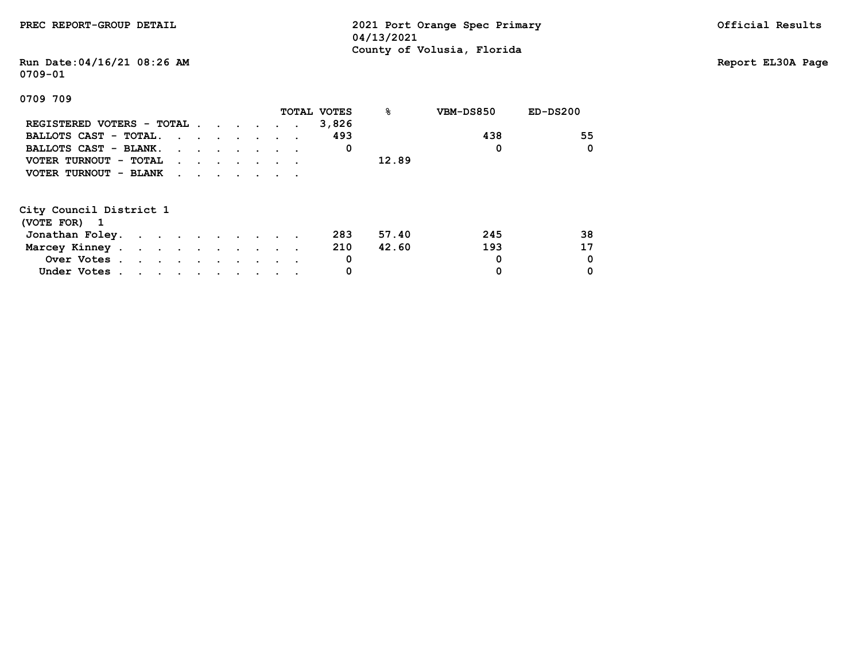|  | PREC REPORT-GROUP DETAIL |  |  |
|--|--------------------------|--|--|
|--|--------------------------|--|--|

**PREC 2021 Port Orange Spec Primary Contract Precent Contract Present Contract Presults 04/13/2021 County of Volusia, Florida**

# **Run Date:04/16/21 08:26 AM Report EL30A Page 0709-01**

|                           |                                                                                         |  |  |  | TOTAL VOTES | 응     | VBM-DS850 | $ED-DS200$ |
|---------------------------|-----------------------------------------------------------------------------------------|--|--|--|-------------|-------|-----------|------------|
| REGISTERED VOTERS - TOTAL |                                                                                         |  |  |  | 3,826       |       |           |            |
| BALLOTS CAST - TOTAL.     | $\cdot$                                                                                 |  |  |  | 493         |       | 438       | 55         |
| BALLOTS CAST - BLANK.     | $\mathbf{r}$ , $\mathbf{r}$ , $\mathbf{r}$ , $\mathbf{r}$ , $\mathbf{r}$ , $\mathbf{r}$ |  |  |  | 0           |       | 0         | $\Omega$   |
| VOTER TURNOUT - TOTAL     | $\cdot$                                                                                 |  |  |  |             | 12.89 |           |            |
| VOTER TURNOUT - BLANK     | $\cdot$ $\cdot$ $\cdot$ $\cdot$ $\cdot$                                                 |  |  |  |             |       |           |            |
|                           |                                                                                         |  |  |  |             |       |           |            |
| City Council District 1   |                                                                                         |  |  |  |             |       |           |            |
| (VOTE FOR) 1              |                                                                                         |  |  |  |             |       |           |            |
| Jonathan Foley.           |                                                                                         |  |  |  | 283         | 57.40 | 245       | 38         |
| Marcey Kinney             |                                                                                         |  |  |  | 210         | 42.60 | 193       | 17         |
| Over Votes                |                                                                                         |  |  |  | 0           |       | 0         | 0          |
| Under Votes               |                                                                                         |  |  |  | 0           |       | 0         | 0          |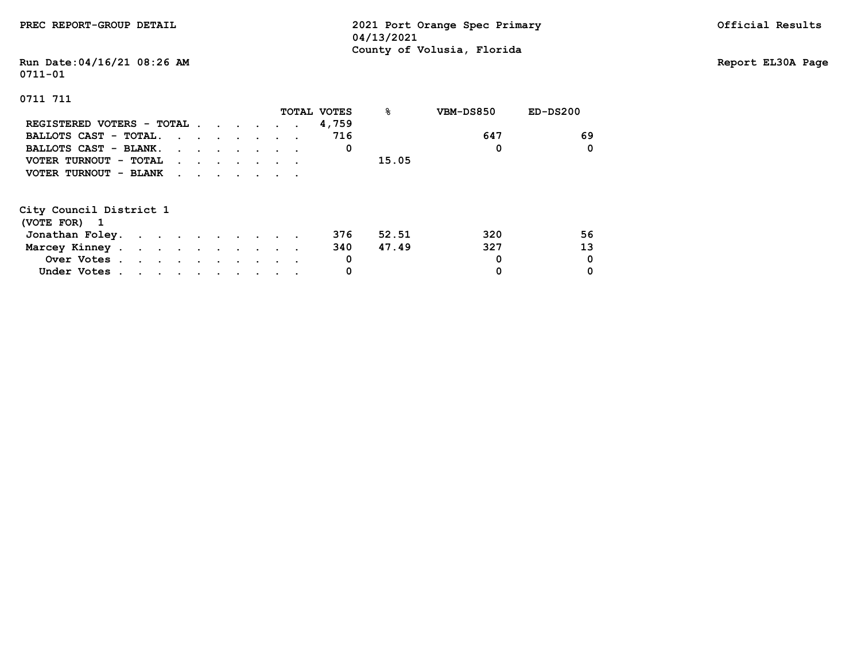## **Run Date:04/16/21 08:26 AM Report EL30A Page 0711-01**

|                           |                                                                                         |  |  | <b>TOTAL VOTES</b> | ℁     | VBM-DS850 | $ED-DS200$ |
|---------------------------|-----------------------------------------------------------------------------------------|--|--|--------------------|-------|-----------|------------|
| REGISTERED VOTERS - TOTAL |                                                                                         |  |  | 4,759              |       |           |            |
| BALLOTS CAST - TOTAL.     | $\cdots$                                                                                |  |  | 716                |       | 647       | 69         |
| BALLOTS CAST - BLANK.     | $\mathbf{r}$ , $\mathbf{r}$ , $\mathbf{r}$ , $\mathbf{r}$ , $\mathbf{r}$ , $\mathbf{r}$ |  |  | 0                  |       | 0         | 0          |
| VOTER TURNOUT - TOTAL     | $\mathbf{r}$ , and $\mathbf{r}$ , and $\mathbf{r}$ , and $\mathbf{r}$                   |  |  |                    | 15.05 |           |            |
| VOTER TURNOUT - BLANK     | $\cdot$                                                                                 |  |  |                    |       |           |            |
| City Council District 1   |                                                                                         |  |  |                    |       |           |            |
| (VOTE FOR) 1              |                                                                                         |  |  |                    |       |           |            |
| Jonathan Foley.           |                                                                                         |  |  | 376                | 52.51 | 320       | 56         |
| Marcey Kinney.            |                                                                                         |  |  | 340                | 47.49 | 327       | 13         |
| Over Votes                |                                                                                         |  |  | 0                  |       | 0         | 0          |
| Under Votes               |                                                                                         |  |  | 0                  |       | 0         | 0          |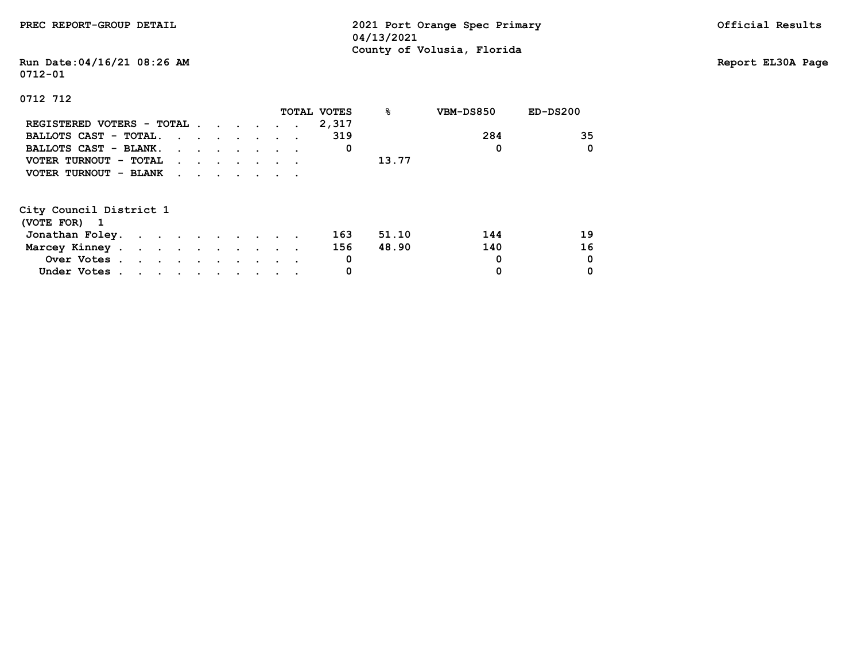**Run Date:04/16/21 08:26 AM Report EL30A Page 0712-01**

|                           |          |  |  |  | TOTAL VOTES | ዱ     | VBM-DS850 | $ED-DS200$ |
|---------------------------|----------|--|--|--|-------------|-------|-----------|------------|
| REGISTERED VOTERS - TOTAL |          |  |  |  | 2,317       |       |           |            |
| BALLOTS CAST - TOTAL.     |          |  |  |  | 319         |       | 284       | 35         |
| BALLOTS CAST - BLANK.     |          |  |  |  | 0           |       | 0         | 0          |
| VOTER TURNOUT - TOTAL     | $\cdots$ |  |  |  |             | 13.77 |           |            |
| VOTER TURNOUT - BLANK     |          |  |  |  |             |       |           |            |
| City Council District 1   |          |  |  |  |             |       |           |            |
| (VOTE FOR) 1              |          |  |  |  |             |       |           |            |
| Jonathan Foley.           |          |  |  |  | 163         | 51.10 | 144       | 19         |
| Marcey Kinney             |          |  |  |  | 156         | 48.90 | 140       | 16         |
| Over Votes                |          |  |  |  | 0           |       | 0         | 0          |
| Under Votes               |          |  |  |  | 0           |       | 0         | 0          |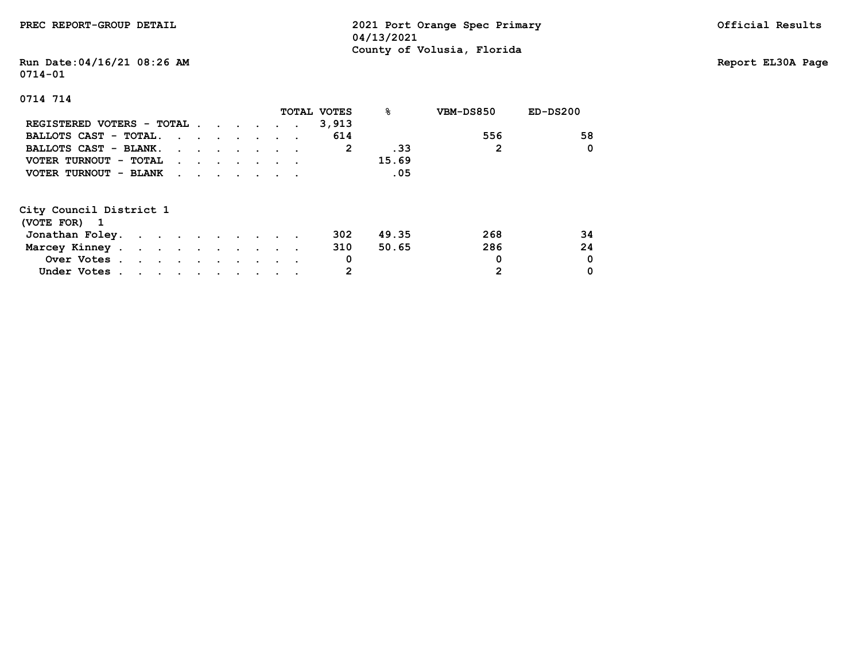## **Run Date:04/16/21 08:26 AM Report EL30A Page 0714-01**

|                                                          |                                                                                         |  |  |  | TOTAL VOTES | ୫     | VBM-DS850 | $ED-DS200$ |
|----------------------------------------------------------|-----------------------------------------------------------------------------------------|--|--|--|-------------|-------|-----------|------------|
| REGISTERED VOTERS - TOTAL                                |                                                                                         |  |  |  | 3,913       |       |           |            |
| BALLOTS CAST - TOTAL.                                    | $\mathbf{r}$ , $\mathbf{r}$ , $\mathbf{r}$ , $\mathbf{r}$ , $\mathbf{r}$                |  |  |  | 614         |       | 556       | 58         |
| BALLOTS CAST - BLANK.                                    | $\cdot$                                                                                 |  |  |  | 2           | .33   | 2         | 0          |
| VOTER TURNOUT - TOTAL                                    | $\mathbf{r}$ , and $\mathbf{r}$ , and $\mathbf{r}$ , and $\mathbf{r}$                   |  |  |  |             | 15.69 |           |            |
| VOTER TURNOUT - BLANK                                    | $\mathbf{r}$ , $\mathbf{r}$ , $\mathbf{r}$ , $\mathbf{r}$ , $\mathbf{r}$ , $\mathbf{r}$ |  |  |  |             | .05   |           |            |
| City Council District 1<br>(VOTE FOR) 1                  |                                                                                         |  |  |  |             |       |           |            |
| Jonathan Foley.                                          |                                                                                         |  |  |  | 302         | 49.35 | 268       | 34         |
|                                                          |                                                                                         |  |  |  |             |       |           |            |
| Marcey Kinney.<br>$\mathbf{r}$ . The set of $\mathbf{r}$ |                                                                                         |  |  |  | 310         | 50.65 | 286       | 24         |
| Over Votes                                               |                                                                                         |  |  |  | 0           |       | 0         | 0          |
| Under Votes.                                             |                                                                                         |  |  |  | 2           |       | 2         | 0          |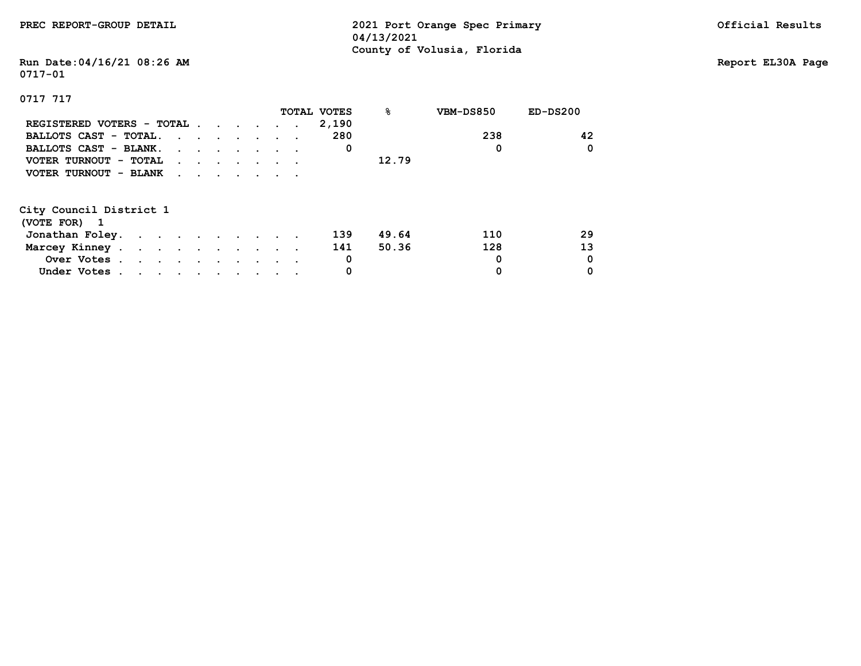## **Run Date:04/16/21 08:26 AM Report EL30A Page 0717-01**

|                           |                                                                                         |  |  |  | TOTAL VOTES | ୫     | VBM-DS850 | $ED-DS200$ |
|---------------------------|-----------------------------------------------------------------------------------------|--|--|--|-------------|-------|-----------|------------|
| REGISTERED VOTERS - TOTAL |                                                                                         |  |  |  | 2,190       |       |           |            |
| BALLOTS CAST - TOTAL.     | $\mathbf{r}$ , and $\mathbf{r}$ , and $\mathbf{r}$ , and $\mathbf{r}$                   |  |  |  | 280         |       | 238       | 42         |
| BALLOTS CAST - BLANK.     | $\mathbf{r}$ , and $\mathbf{r}$ , and $\mathbf{r}$ , and $\mathbf{r}$                   |  |  |  | 0           |       | 0         | 0          |
| VOTER TURNOUT - TOTAL     | $\mathbf{r}$ , $\mathbf{r}$ , $\mathbf{r}$ , $\mathbf{r}$ , $\mathbf{r}$ , $\mathbf{r}$ |  |  |  |             | 12.79 |           |            |
| VOTER TURNOUT - BLANK     | $\mathbf{r}$ , $\mathbf{r}$ , $\mathbf{r}$ , $\mathbf{r}$ , $\mathbf{r}$                |  |  |  |             |       |           |            |
|                           |                                                                                         |  |  |  |             |       |           |            |
| City Council District 1   |                                                                                         |  |  |  |             |       |           |            |
| (VOTE FOR) 1              |                                                                                         |  |  |  |             |       |           |            |
| Jonathan Foley.           |                                                                                         |  |  |  | 139         | 49.64 | 110       | 29         |
| Marcey Kinney             |                                                                                         |  |  |  | 141         | 50.36 | 128       | 13         |
| Over Votes                |                                                                                         |  |  |  | 0           |       | 0         | 0          |
| Under Votes               |                                                                                         |  |  |  | 0           |       | 0         | 0          |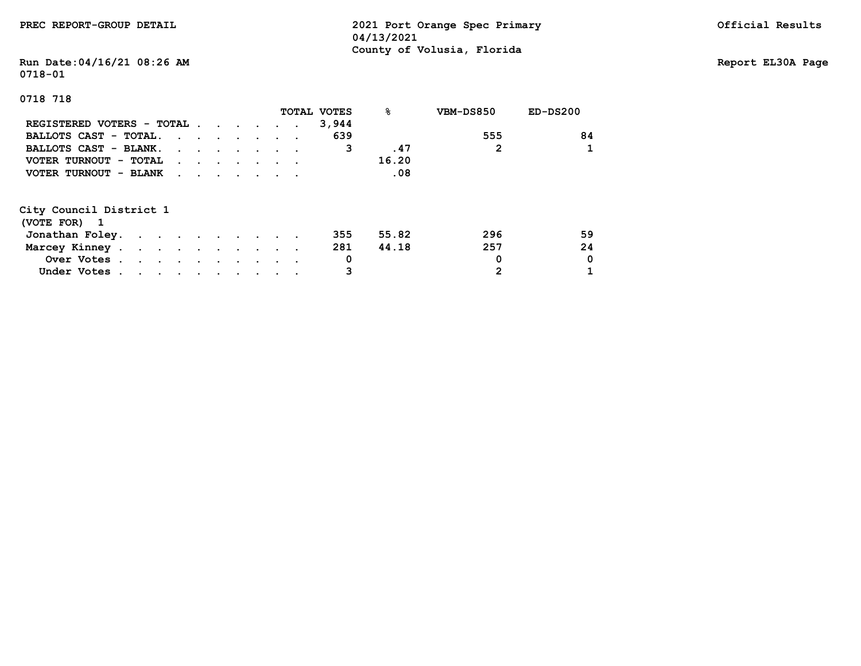## **Run Date:04/16/21 08:26 AM Report EL30A Page 0718-01**

|                           |                                                                                                                                                                                                                                   |  |  |  | TOTAL VOTES | ℁     | VBM-DS850 | $ED-DS200$ |
|---------------------------|-----------------------------------------------------------------------------------------------------------------------------------------------------------------------------------------------------------------------------------|--|--|--|-------------|-------|-----------|------------|
| REGISTERED VOTERS - TOTAL |                                                                                                                                                                                                                                   |  |  |  | 3,944       |       |           |            |
| BALLOTS CAST - TOTAL.     |                                                                                                                                                                                                                                   |  |  |  | 639         |       | 555       | 84         |
| BALLOTS CAST - BLANK.     |                                                                                                                                                                                                                                   |  |  |  | 3           | .47   | 2         |            |
| VOTER TURNOUT - TOTAL     | $\mathbf{r}$ , and $\mathbf{r}$ , and $\mathbf{r}$ , and $\mathbf{r}$                                                                                                                                                             |  |  |  |             | 16.20 |           |            |
| VOTER TURNOUT - BLANK     | $\mathbf{r}$ . The set of the set of the set of the set of the set of the set of the set of the set of the set of the set of the set of the set of the set of the set of the set of the set of the set of the set of the set of t |  |  |  |             | .08   |           |            |
| City Council District 1   |                                                                                                                                                                                                                                   |  |  |  |             |       |           |            |
| (VOTE FOR) 1              |                                                                                                                                                                                                                                   |  |  |  |             |       |           |            |
| Jonathan Foley.           |                                                                                                                                                                                                                                   |  |  |  | 355         | 55.82 | 296       | 59         |
| Marcey Kinney             |                                                                                                                                                                                                                                   |  |  |  | 281         | 44.18 | 257       | 24         |
| Over Votes                |                                                                                                                                                                                                                                   |  |  |  | 0           |       | 0         | 0          |
| Under Votes               |                                                                                                                                                                                                                                   |  |  |  |             |       | 2         |            |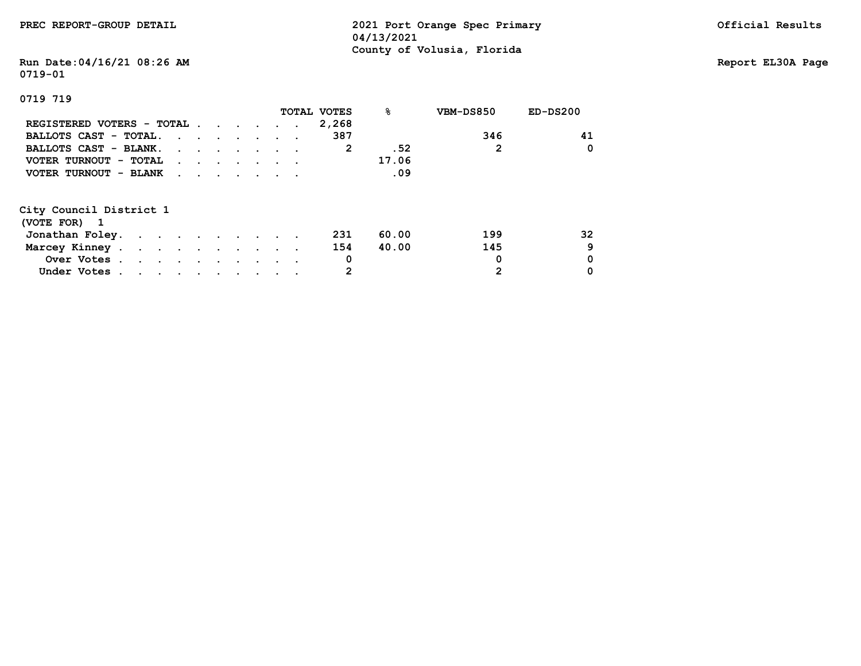## **Run Date:04/16/21 08:26 AM Report EL30A Page 0719-01**

|                                                                                                                                                |                                                                          |  |  |  | <b>TOTAL VOTES</b> | ዱ     | VBM-DS850 | $ED-DS200$ |
|------------------------------------------------------------------------------------------------------------------------------------------------|--------------------------------------------------------------------------|--|--|--|--------------------|-------|-----------|------------|
| REGISTERED VOTERS - TOTAL                                                                                                                      |                                                                          |  |  |  | 2,268              |       |           |            |
| BALLOTS CAST - TOTAL.                                                                                                                          |                                                                          |  |  |  | 387                |       | 346       | 41         |
| BALLOTS CAST - BLANK.                                                                                                                          |                                                                          |  |  |  | 2                  | .52   | 2         | 0          |
| VOTER TURNOUT - TOTAL                                                                                                                          | $\mathbf{r}$ , and $\mathbf{r}$ , and $\mathbf{r}$ , and $\mathbf{r}$    |  |  |  |                    | 17.06 |           |            |
| VOTER TURNOUT - BLANK                                                                                                                          | $\mathbf{r}$ , $\mathbf{r}$ , $\mathbf{r}$ , $\mathbf{r}$ , $\mathbf{r}$ |  |  |  |                    | .09   |           |            |
|                                                                                                                                                |                                                                          |  |  |  |                    |       |           |            |
| City Council District 1                                                                                                                        |                                                                          |  |  |  |                    |       |           |            |
| (VOTE FOR) 1                                                                                                                                   |                                                                          |  |  |  |                    |       |           |            |
| Jonathan Foley.                                                                                                                                |                                                                          |  |  |  | 231                | 60.00 | 199       | 32         |
| Marcey Kinney                                                                                                                                  |                                                                          |  |  |  | 154                | 40.00 | 145       | 9          |
| Over Votes                                                                                                                                     |                                                                          |  |  |  | 0                  |       | 0         | 0          |
| Under Votes.<br>$\mathbf{a}$ , and $\mathbf{a}$ , and $\mathbf{a}$ , and $\mathbf{a}$ , and $\mathbf{a}$ , and $\mathbf{a}$ , and $\mathbf{a}$ |                                                                          |  |  |  |                    |       | 2         | 0          |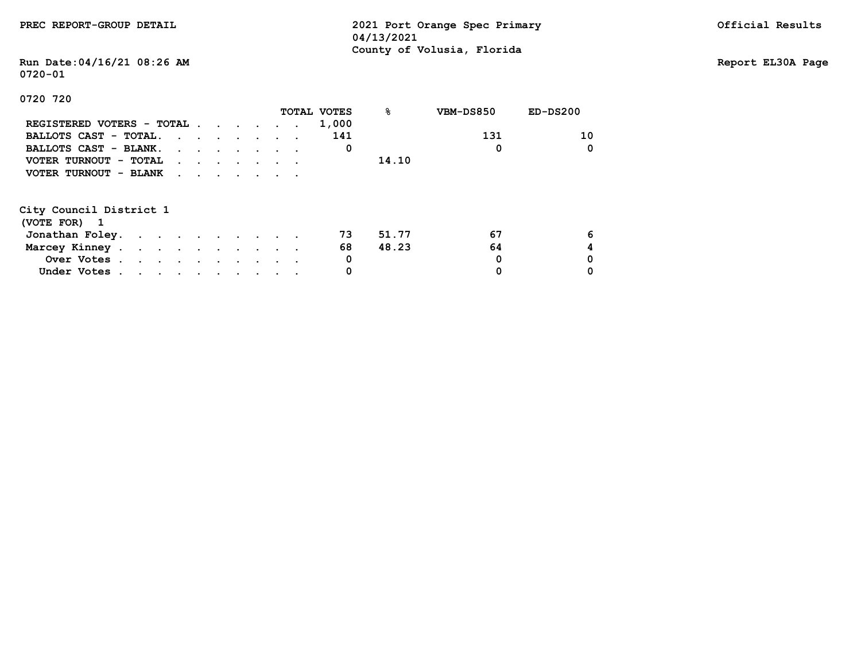## **Run Date:04/16/21 08:26 AM Report EL30A Page 0720-01**

|                           |                                                                                         |  |  | TOTAL VOTES | 응     | VBM-DS850 | $ED-DS200$ |
|---------------------------|-----------------------------------------------------------------------------------------|--|--|-------------|-------|-----------|------------|
| REGISTERED VOTERS - TOTAL |                                                                                         |  |  | 1,000       |       |           |            |
| BALLOTS CAST - TOTAL.     |                                                                                         |  |  | 141         |       | 131       | 10         |
| BALLOTS CAST - BLANK.     |                                                                                         |  |  | 0           |       | 0         | 0          |
| VOTER TURNOUT - TOTAL     | $\mathbf{r}$ , $\mathbf{r}$ , $\mathbf{r}$ , $\mathbf{r}$ , $\mathbf{r}$ , $\mathbf{r}$ |  |  |             | 14.10 |           |            |
| VOTER TURNOUT - BLANK     | $\mathbf{r}$ , $\mathbf{r}$ , $\mathbf{r}$ , $\mathbf{r}$ , $\mathbf{r}$ , $\mathbf{r}$ |  |  |             |       |           |            |
| City Council District 1   |                                                                                         |  |  |             |       |           |            |
| (VOTE FOR) 1              |                                                                                         |  |  |             |       |           |            |
|                           |                                                                                         |  |  |             |       |           |            |
| Jonathan Foley.           |                                                                                         |  |  | 73          | 51.77 | 67        | 6          |
| Marcey Kinney             |                                                                                         |  |  | 68          | 48.23 | 64        | 4          |
| Over Votes                |                                                                                         |  |  | 0           |       | 0         | 0          |
| Under Votes               |                                                                                         |  |  | 0           |       | 0         |            |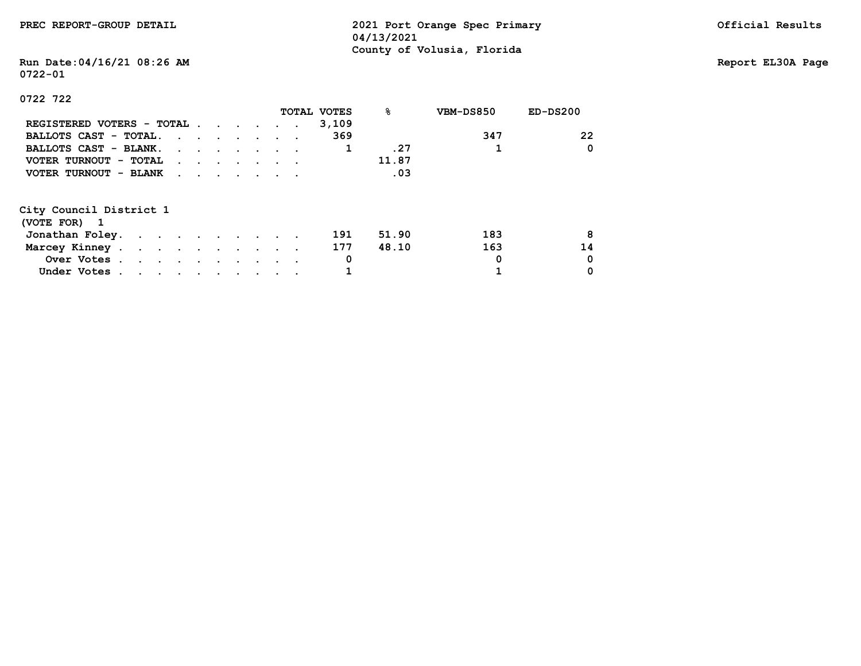## **Run Date:04/16/21 08:26 AM Report EL30A Page 0722-01**

### **0722 722**

|                           |                                                                                         |  |  | TOTAL VOTES | ℁     | VBM-DS850 | $ED-DS200$ |
|---------------------------|-----------------------------------------------------------------------------------------|--|--|-------------|-------|-----------|------------|
| REGISTERED VOTERS - TOTAL |                                                                                         |  |  | 3,109       |       |           |            |
| BALLOTS CAST - TOTAL.     |                                                                                         |  |  | 369         |       | 347       | 22         |
| BALLOTS CAST - BLANK.     |                                                                                         |  |  |             | .27   |           | 0          |
| VOTER TURNOUT - TOTAL     | $\mathbf{r}$ , and $\mathbf{r}$ , and $\mathbf{r}$ , and $\mathbf{r}$                   |  |  |             | 11.87 |           |            |
| VOTER TURNOUT - BLANK     | $\mathbf{r}$ , $\mathbf{r}$ , $\mathbf{r}$ , $\mathbf{r}$ , $\mathbf{r}$ , $\mathbf{r}$ |  |  |             | .03   |           |            |
| City Council District 1   |                                                                                         |  |  |             |       |           |            |
| (VOTE FOR) 1              |                                                                                         |  |  |             |       |           |            |
| Jonathan Foley.           |                                                                                         |  |  | 191         | 51.90 | 183       | 8          |
| Marcey Kinney             |                                                                                         |  |  | 177         | 48.10 | 163       | 14         |
| Over Votes                |                                                                                         |  |  | 0           |       | 0         | 0          |

 **Under Votes . . . . . . . . . . 1 1 0**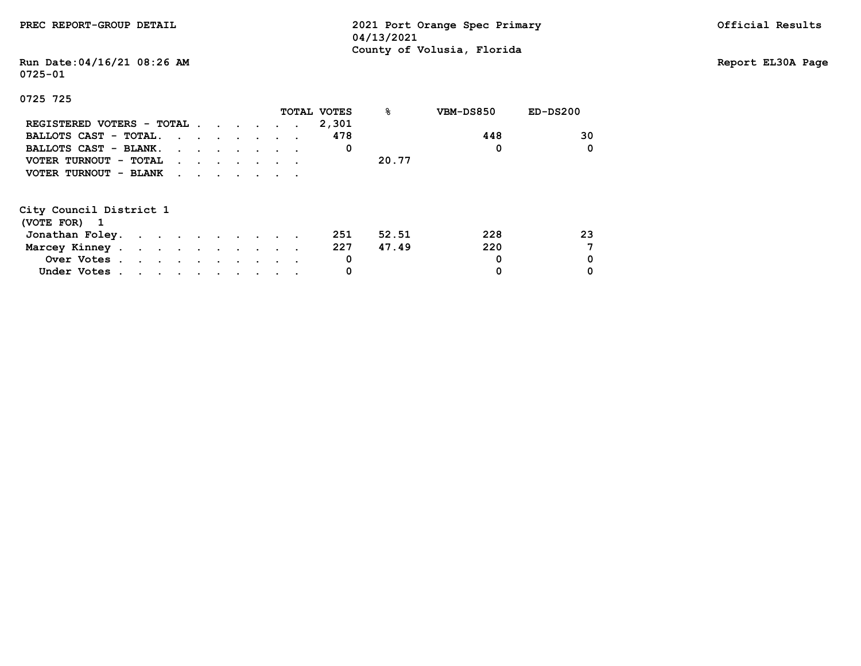|  | PREC REPORT-GROUP DETAIL |  |  |
|--|--------------------------|--|--|
|--|--------------------------|--|--|

2021 Port Orange Spec Primary **Detail Results** Official Results  **04/13/2021 County of Volusia, Florida**

# **Run Date:04/16/21 08:26 AM Report EL30A Page 0725-01**

|                           |                                                                                         |  |  |  | TOTAL VOTES | 응     | VBM-DS850 | $ED-DS200$ |
|---------------------------|-----------------------------------------------------------------------------------------|--|--|--|-------------|-------|-----------|------------|
| REGISTERED VOTERS - TOTAL |                                                                                         |  |  |  | 2,301       |       |           |            |
| BALLOTS CAST - TOTAL.     |                                                                                         |  |  |  | 478         |       | 448       | 30         |
| BALLOTS CAST - BLANK.     |                                                                                         |  |  |  | 0           |       | 0         | 0          |
| VOTER TURNOUT - TOTAL     | $\mathbf{r}$ , $\mathbf{r}$ , $\mathbf{r}$ , $\mathbf{r}$ , $\mathbf{r}$ , $\mathbf{r}$ |  |  |  |             | 20.77 |           |            |
| VOTER TURNOUT - BLANK     | $\mathbf{r}$ , $\mathbf{r}$ , $\mathbf{r}$ , $\mathbf{r}$ , $\mathbf{r}$ , $\mathbf{r}$ |  |  |  |             |       |           |            |
| City Council District 1   |                                                                                         |  |  |  |             |       |           |            |
| (VOTE FOR) 1              |                                                                                         |  |  |  |             |       |           |            |
| Jonathan Foley.           |                                                                                         |  |  |  | 251         | 52.51 | 228       | 23         |
| Marcey Kinney             |                                                                                         |  |  |  | 227         | 47.49 | 220       |            |
| Over Votes                |                                                                                         |  |  |  | 0           |       | 0         | 0          |
| Under Votes               |                                                                                         |  |  |  | 0           |       | 0         | 0          |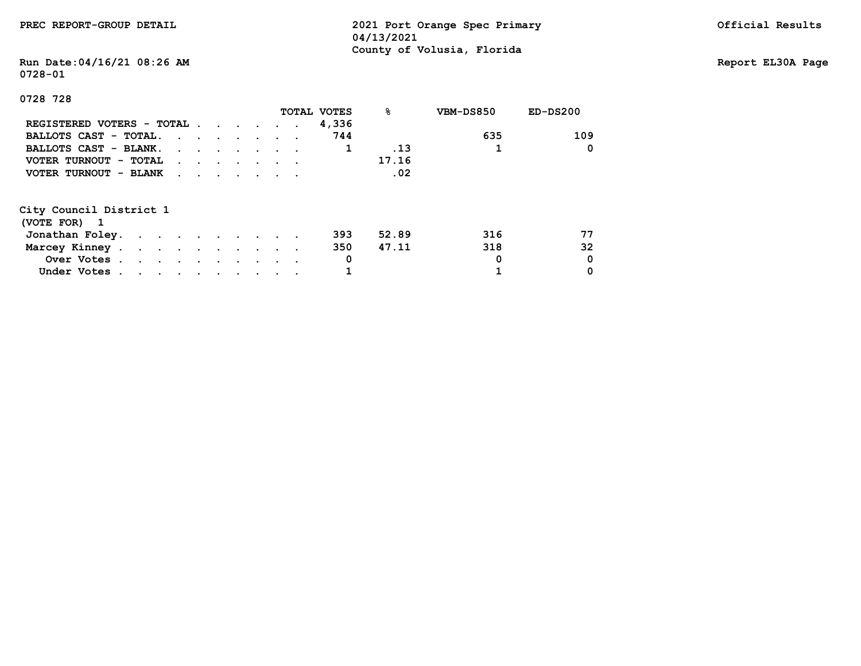## **Run Date:04/16/21 08:26 AM Report EL30A Page 0728-01**

### **0728 728**

|                           |                                                                                         |  |  | TOTAL VOTES | 응     | VBM-DS850 | $ED-DS200$ |
|---------------------------|-----------------------------------------------------------------------------------------|--|--|-------------|-------|-----------|------------|
| REGISTERED VOTERS - TOTAL |                                                                                         |  |  | 4,336       |       |           |            |
| BALLOTS CAST - TOTAL.     |                                                                                         |  |  | 744         |       | 635       | 109        |
| BALLOTS CAST - BLANK.     |                                                                                         |  |  |             | .13   |           | 0          |
| VOTER TURNOUT - TOTAL     | $\mathbf{r}$ , $\mathbf{r}$ , $\mathbf{r}$ , $\mathbf{r}$ , $\mathbf{r}$ , $\mathbf{r}$ |  |  |             | 17.16 |           |            |
| VOTER TURNOUT - BLANK     | $\mathbf{r}$ , $\mathbf{r}$ , $\mathbf{r}$ , $\mathbf{r}$ , $\mathbf{r}$                |  |  |             | .02   |           |            |
| City Council District 1   |                                                                                         |  |  |             |       |           |            |
| (VOTE FOR) 1              |                                                                                         |  |  |             |       |           |            |
| Jonathan Foley.           |                                                                                         |  |  | 393         | 52.89 | 316       | 77         |
| Marcey Kinney             |                                                                                         |  |  | 350         | 47.11 | 318       | 32         |
| Over Votes                |                                                                                         |  |  | 0           |       | 0         | 0          |

 **Under Votes . . . . . . . . . . 1 1 0**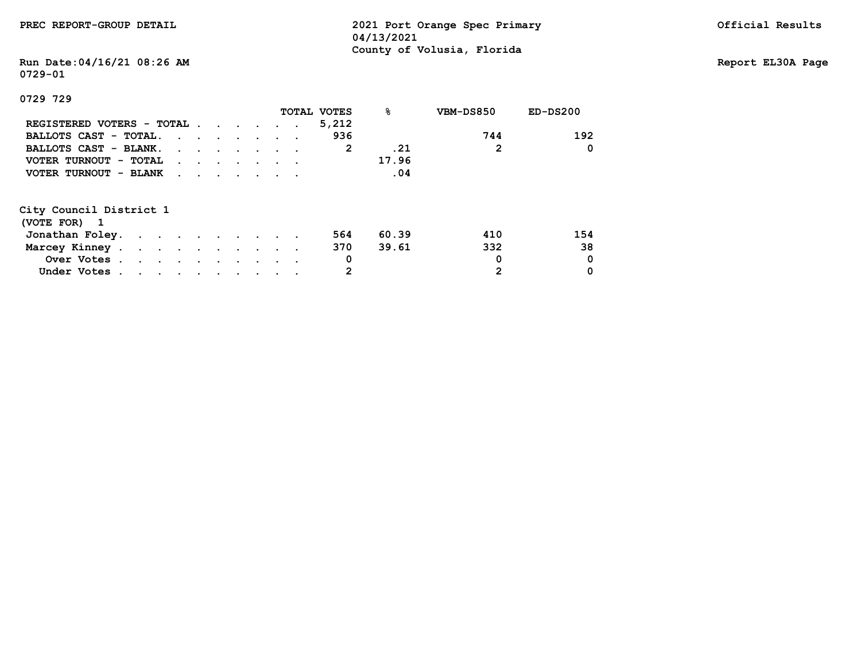**Run Date:04/16/21 08:26 AM Report EL30A Page 0729-01**

 **Under Votes** . . . . . . . . . . . 2

|                           |                                                                       |  |  |  | TOTAL VOTES  | 응     | VBM-DS850 | $ED-DS200$ |
|---------------------------|-----------------------------------------------------------------------|--|--|--|--------------|-------|-----------|------------|
| REGISTERED VOTERS - TOTAL |                                                                       |  |  |  | 5,212        |       |           |            |
| BALLOTS CAST - TOTAL.     |                                                                       |  |  |  | 936          |       | 744       | 192        |
| BALLOTS CAST - BLANK.     |                                                                       |  |  |  | $\mathbf{2}$ | .21   | 2         | 0          |
| VOTER TURNOUT - TOTAL     | $\mathbf{r}$ , and $\mathbf{r}$ , and $\mathbf{r}$ , and $\mathbf{r}$ |  |  |  |              | 17.96 |           |            |
| VOTER TURNOUT - BLANK     | $\mathbf{r}$ , and $\mathbf{r}$ , and $\mathbf{r}$ , and $\mathbf{r}$ |  |  |  |              | .04   |           |            |
| City Council District 1   |                                                                       |  |  |  |              |       |           |            |
| (VOTE FOR) 1              |                                                                       |  |  |  |              |       |           |            |
| Jonathan Foley.           |                                                                       |  |  |  | 564          | 60.39 | 410       | 154        |
| Marcey Kinney             |                                                                       |  |  |  | 370          | 39.61 | 332       | 38         |
| Over Votes                |                                                                       |  |  |  | 0            |       | 0         | 0          |
| Under Votes               |                                                                       |  |  |  |              |       | 2         | 0          |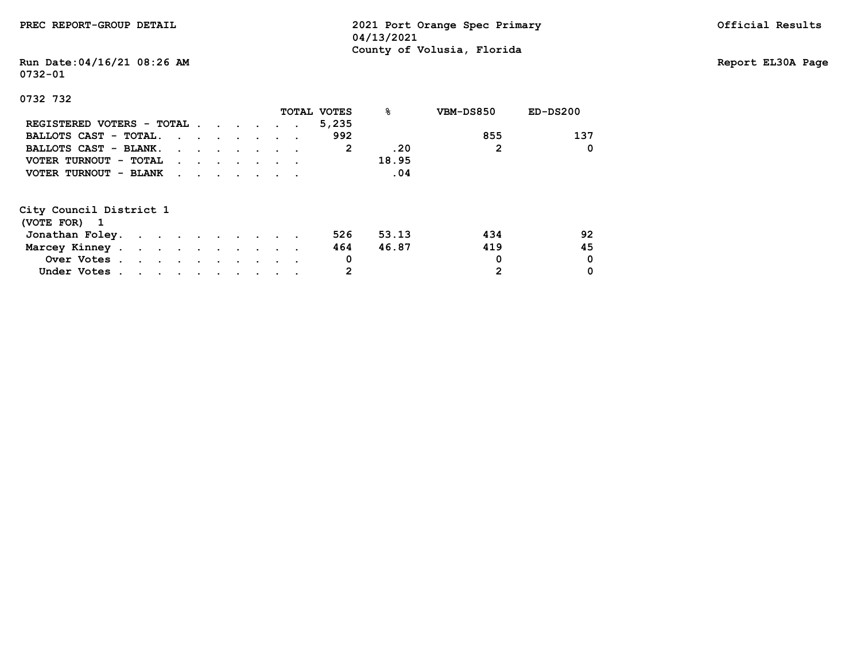## **Run Date:04/16/21 08:26 AM Report EL30A Page 0732-01**

 **Under Votes** . . . . . . . . . . . 2

|                           |                                                                          |  |  |  | <b>TOTAL VOTES</b> | 응     | VBM-DS850 | $ED-DS200$ |
|---------------------------|--------------------------------------------------------------------------|--|--|--|--------------------|-------|-----------|------------|
| REGISTERED VOTERS - TOTAL |                                                                          |  |  |  | 5,235              |       |           |            |
| BALLOTS CAST - TOTAL.     |                                                                          |  |  |  | 992                |       | 855       | 137        |
| BALLOTS CAST - BLANK.     |                                                                          |  |  |  | 2                  | .20   | 2         | 0          |
| VOTER TURNOUT - TOTAL     | $\mathbf{r}$ , and $\mathbf{r}$ , and $\mathbf{r}$ , and $\mathbf{r}$    |  |  |  |                    | 18.95 |           |            |
| VOTER TURNOUT - BLANK     | $\mathbf{r}$ , $\mathbf{r}$ , $\mathbf{r}$ , $\mathbf{r}$ , $\mathbf{r}$ |  |  |  |                    | .04   |           |            |
| City Council District 1   |                                                                          |  |  |  |                    |       |           |            |
| (VOTE FOR) 1              |                                                                          |  |  |  |                    |       |           |            |
| Jonathan Foley.           |                                                                          |  |  |  | 526                | 53.13 | 434       | 92         |
| Marcey Kinney             |                                                                          |  |  |  | 464                | 46.87 | 419       | 45         |
| Over Votes                |                                                                          |  |  |  | 0                  |       | 0         | 0          |
| Under Votes               |                                                                          |  |  |  |                    |       | 2         | 0          |